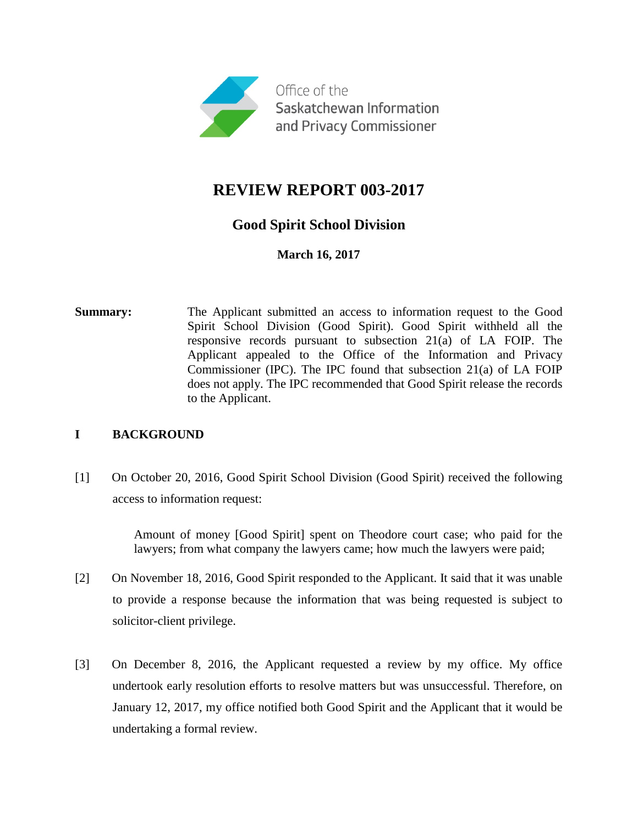

# **REVIEW REPORT 003-2017**

## **Good Spirit School Division**

**March 16, 2017**

**Summary:** The Applicant submitted an access to information request to the Good Spirit School Division (Good Spirit). Good Spirit withheld all the responsive records pursuant to subsection 21(a) of LA FOIP. The Applicant appealed to the Office of the Information and Privacy Commissioner (IPC). The IPC found that subsection 21(a) of LA FOIP does not apply. The IPC recommended that Good Spirit release the records to the Applicant.

### **I BACKGROUND**

[1] On October 20, 2016, Good Spirit School Division (Good Spirit) received the following access to information request:

> Amount of money [Good Spirit] spent on Theodore court case; who paid for the lawyers; from what company the lawyers came; how much the lawyers were paid;

- [2] On November 18, 2016, Good Spirit responded to the Applicant. It said that it was unable to provide a response because the information that was being requested is subject to solicitor-client privilege.
- [3] On December 8, 2016, the Applicant requested a review by my office. My office undertook early resolution efforts to resolve matters but was unsuccessful. Therefore, on January 12, 2017, my office notified both Good Spirit and the Applicant that it would be undertaking a formal review.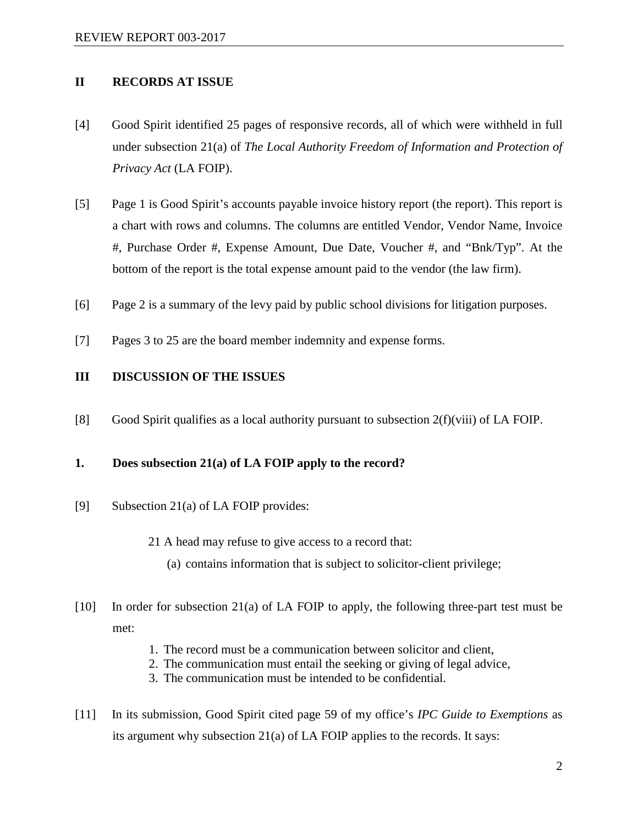#### **II RECORDS AT ISSUE**

- [4] Good Spirit identified 25 pages of responsive records, all of which were withheld in full under subsection 21(a) of *The Local Authority Freedom of Information and Protection of Privacy Act* (LA FOIP).
- [5] Page 1 is Good Spirit's accounts payable invoice history report (the report). This report is a chart with rows and columns. The columns are entitled Vendor, Vendor Name, Invoice #, Purchase Order #, Expense Amount, Due Date, Voucher #, and "Bnk/Typ". At the bottom of the report is the total expense amount paid to the vendor (the law firm).
- [6] Page 2 is a summary of the levy paid by public school divisions for litigation purposes.
- [7] Pages 3 to 25 are the board member indemnity and expense forms.

#### **III DISCUSSION OF THE ISSUES**

[8] Good Spirit qualifies as a local authority pursuant to subsection 2(f)(viii) of LA FOIP.

#### **1. Does subsection 21(a) of LA FOIP apply to the record?**

- [9] Subsection 21(a) of LA FOIP provides:
	- 21 A head may refuse to give access to a record that:
		- (a) contains information that is subject to solicitor-client privilege;
- [10] In order for subsection 21(a) of LA FOIP to apply, the following three-part test must be met:
	- 1. The record must be a communication between solicitor and client,
	- 2. The communication must entail the seeking or giving of legal advice,
	- 3. The communication must be intended to be confidential.
- [11] In its submission, Good Spirit cited page 59 of my office's *IPC Guide to Exemptions* as its argument why subsection 21(a) of LA FOIP applies to the records. It says: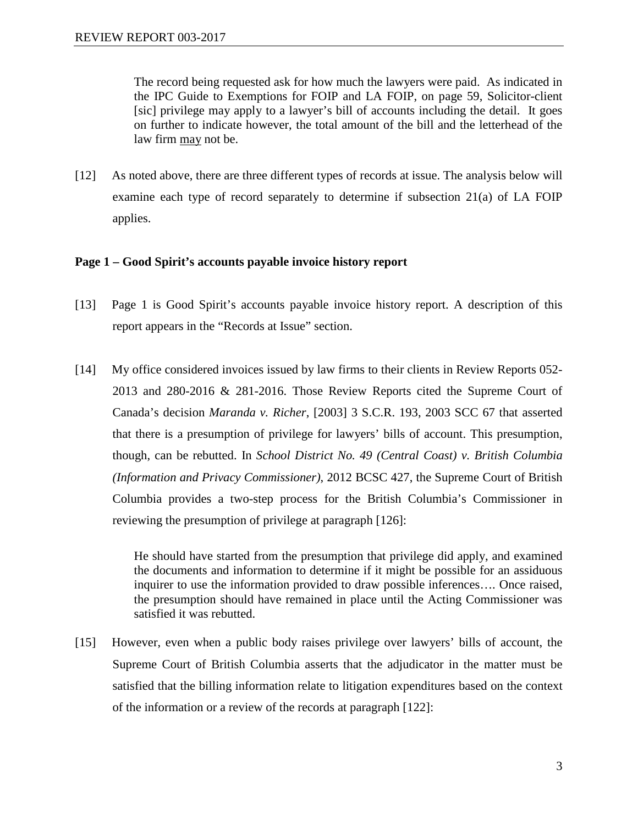The record being requested ask for how much the lawyers were paid. As indicated in the IPC Guide to Exemptions for FOIP and LA FOIP, on page 59, Solicitor-client [sic] privilege may apply to a lawyer's bill of accounts including the detail. It goes on further to indicate however, the total amount of the bill and the letterhead of the law firm may not be.

[12] As noted above, there are three different types of records at issue. The analysis below will examine each type of record separately to determine if subsection 21(a) of LA FOIP applies.

#### **Page 1 – Good Spirit's accounts payable invoice history report**

- [13] Page 1 is Good Spirit's accounts payable invoice history report. A description of this report appears in the "Records at Issue" section.
- [14] My office considered invoices issued by law firms to their clients in Review Reports 052- 2013 and 280-2016 & 281-2016. Those Review Reports cited the Supreme Court of Canada's decision *Maranda v. Richer*, [2003] 3 S.C.R. 193, 2003 SCC 67 that asserted that there is a presumption of privilege for lawyers' bills of account. This presumption, though, can be rebutted. In *School District No. 49 (Central Coast) v. British Columbia (Information and Privacy Commissioner)*, 2012 BCSC 427, the Supreme Court of British Columbia provides a two-step process for the British Columbia's Commissioner in reviewing the presumption of privilege at paragraph [126]:

He should have started from the presumption that privilege did apply, and examined the documents and information to determine if it might be possible for an assiduous inquirer to use the information provided to draw possible inferences…. Once raised, the presumption should have remained in place until the Acting Commissioner was satisfied it was rebutted.

[15] However, even when a public body raises privilege over lawyers' bills of account, the Supreme Court of British Columbia asserts that the adjudicator in the matter must be satisfied that the billing information relate to litigation expenditures based on the context of the information or a review of the records at paragraph [122]: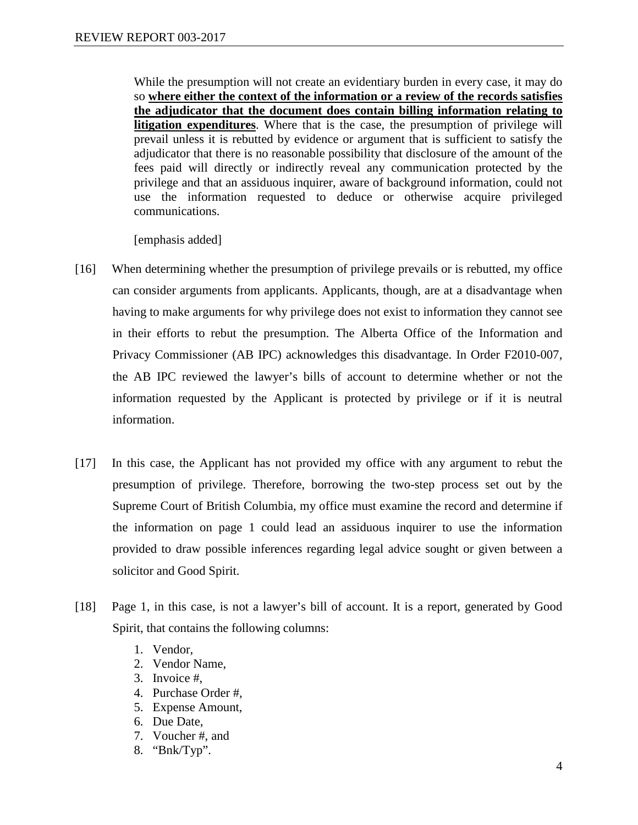While the presumption will not create an evidentiary burden in every case, it may do so **where either the context of the information or a review of the records satisfies the adjudicator that the document does contain billing information relating to litigation expenditures**. Where that is the case, the presumption of privilege will prevail unless it is rebutted by evidence or argument that is sufficient to satisfy the adjudicator that there is no reasonable possibility that disclosure of the amount of the fees paid will directly or indirectly reveal any communication protected by the privilege and that an assiduous inquirer, aware of background information, could not use the information requested to deduce or otherwise acquire privileged communications.

[emphasis added]

- [16] When determining whether the presumption of privilege prevails or is rebutted, my office can consider arguments from applicants. Applicants, though, are at a disadvantage when having to make arguments for why privilege does not exist to information they cannot see in their efforts to rebut the presumption. The Alberta Office of the Information and Privacy Commissioner (AB IPC) acknowledges this disadvantage. In Order F2010-007, the AB IPC reviewed the lawyer's bills of account to determine whether or not the information requested by the Applicant is protected by privilege or if it is neutral information.
- [17] In this case, the Applicant has not provided my office with any argument to rebut the presumption of privilege. Therefore, borrowing the two-step process set out by the Supreme Court of British Columbia, my office must examine the record and determine if the information on page 1 could lead an assiduous inquirer to use the information provided to draw possible inferences regarding legal advice sought or given between a solicitor and Good Spirit.
- [18] Page 1, in this case, is not a lawyer's bill of account. It is a report, generated by Good Spirit, that contains the following columns:
	- 1. Vendor,
	- 2. Vendor Name,
	- 3. Invoice #,
	- 4. Purchase Order #,
	- 5. Expense Amount,
	- 6. Due Date,
	- 7. Voucher #, and
	- 8. "Bnk/Typ".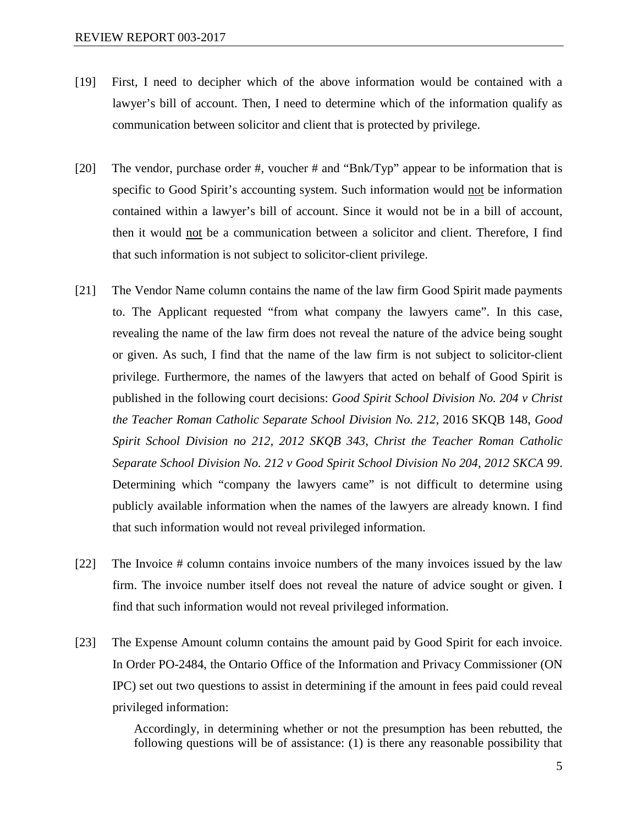- [19] First, I need to decipher which of the above information would be contained with a lawyer's bill of account. Then, I need to determine which of the information qualify as communication between solicitor and client that is protected by privilege.
- [20] The vendor, purchase order #, voucher # and "Bnk/Typ" appear to be information that is specific to Good Spirit's accounting system. Such information would not be information contained within a lawyer's bill of account. Since it would not be in a bill of account, then it would not be a communication between a solicitor and client. Therefore, I find that such information is not subject to solicitor-client privilege.
- [21] The Vendor Name column contains the name of the law firm Good Spirit made payments to. The Applicant requested "from what company the lawyers came". In this case, revealing the name of the law firm does not reveal the nature of the advice being sought or given. As such, I find that the name of the law firm is not subject to solicitor-client privilege. Furthermore, the names of the lawyers that acted on behalf of Good Spirit is published in the following court decisions: *Good Spirit School Division No. 204 v Christ the Teacher Roman Catholic Separate School Division No. 212*, 2016 SKQB 148, *Good Spirit School Division no 212, 2012 SKQB 343*, *Christ the Teacher Roman Catholic Separate School Division No. 212 v Good Spirit School Division No 204, 2012 SKCA 99*. Determining which "company the lawyers came" is not difficult to determine using publicly available information when the names of the lawyers are already known. I find that such information would not reveal privileged information.
- [22] The Invoice # column contains invoice numbers of the many invoices issued by the law firm. The invoice number itself does not reveal the nature of advice sought or given. I find that such information would not reveal privileged information.
- [23] The Expense Amount column contains the amount paid by Good Spirit for each invoice. In Order PO-2484, the Ontario Office of the Information and Privacy Commissioner (ON IPC) set out two questions to assist in determining if the amount in fees paid could reveal privileged information:

Accordingly, in determining whether or not the presumption has been rebutted, the following questions will be of assistance: (1) is there any reasonable possibility that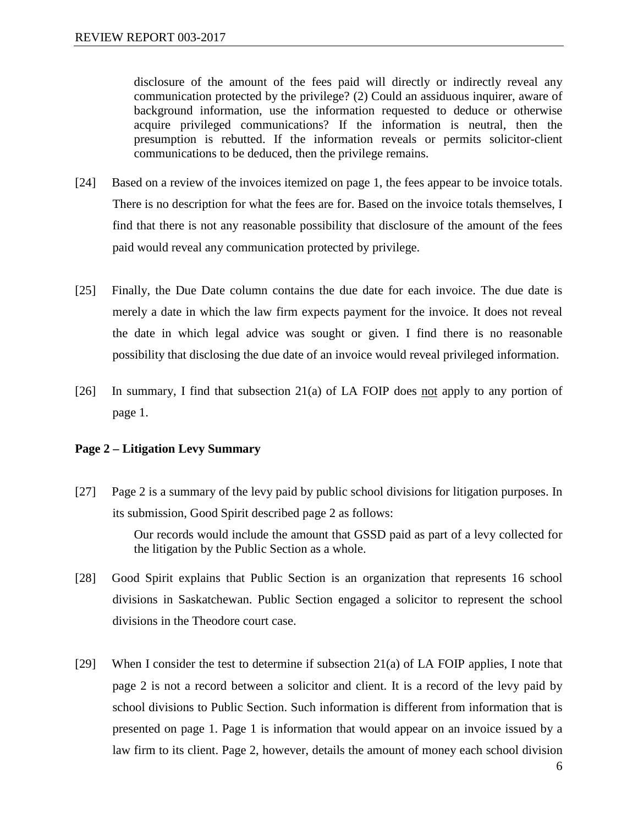disclosure of the amount of the fees paid will directly or indirectly reveal any communication protected by the privilege? (2) Could an assiduous inquirer, aware of background information, use the information requested to deduce or otherwise acquire privileged communications? If the information is neutral, then the presumption is rebutted. If the information reveals or permits solicitor-client communications to be deduced, then the privilege remains.

- [24] Based on a review of the invoices itemized on page 1, the fees appear to be invoice totals. There is no description for what the fees are for. Based on the invoice totals themselves, I find that there is not any reasonable possibility that disclosure of the amount of the fees paid would reveal any communication protected by privilege.
- [25] Finally, the Due Date column contains the due date for each invoice. The due date is merely a date in which the law firm expects payment for the invoice. It does not reveal the date in which legal advice was sought or given. I find there is no reasonable possibility that disclosing the due date of an invoice would reveal privileged information.
- [26] In summary, I find that subsection 21(a) of LA FOIP does not apply to any portion of page 1.

#### **Page 2 – Litigation Levy Summary**

[27] Page 2 is a summary of the levy paid by public school divisions for litigation purposes. In its submission, Good Spirit described page 2 as follows:

> Our records would include the amount that GSSD paid as part of a levy collected for the litigation by the Public Section as a whole.

- [28] Good Spirit explains that Public Section is an organization that represents 16 school divisions in Saskatchewan. Public Section engaged a solicitor to represent the school divisions in the Theodore court case.
- [29] When I consider the test to determine if subsection 21(a) of LA FOIP applies, I note that page 2 is not a record between a solicitor and client. It is a record of the levy paid by school divisions to Public Section. Such information is different from information that is presented on page 1. Page 1 is information that would appear on an invoice issued by a law firm to its client. Page 2, however, details the amount of money each school division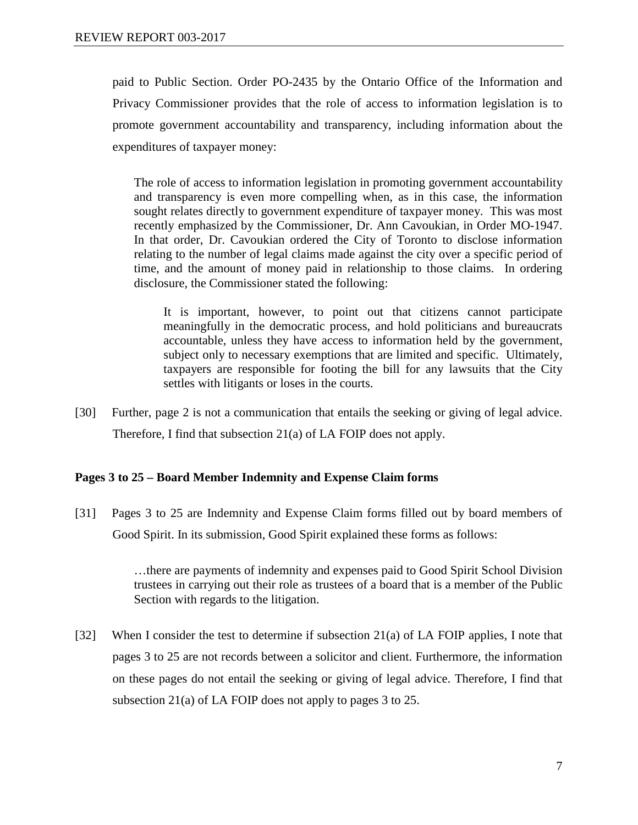paid to Public Section. Order PO-2435 by the Ontario Office of the Information and Privacy Commissioner provides that the role of access to information legislation is to promote government accountability and transparency, including information about the expenditures of taxpayer money:

The role of access to information legislation in promoting government accountability and transparency is even more compelling when, as in this case, the information sought relates directly to government expenditure of taxpayer money. This was most recently emphasized by the Commissioner, Dr. Ann Cavoukian, in Order MO-1947. In that order, Dr. Cavoukian ordered the City of Toronto to disclose information relating to the number of legal claims made against the city over a specific period of time, and the amount of money paid in relationship to those claims. In ordering disclosure, the Commissioner stated the following:

It is important, however, to point out that citizens cannot participate meaningfully in the democratic process, and hold politicians and bureaucrats accountable, unless they have access to information held by the government, subject only to necessary exemptions that are limited and specific. Ultimately, taxpayers are responsible for footing the bill for any lawsuits that the City settles with litigants or loses in the courts.

[30] Further, page 2 is not a communication that entails the seeking or giving of legal advice. Therefore, I find that subsection 21(a) of LA FOIP does not apply.

### **Pages 3 to 25 – Board Member Indemnity and Expense Claim forms**

[31] Pages 3 to 25 are Indemnity and Expense Claim forms filled out by board members of Good Spirit. In its submission, Good Spirit explained these forms as follows:

> …there are payments of indemnity and expenses paid to Good Spirit School Division trustees in carrying out their role as trustees of a board that is a member of the Public Section with regards to the litigation.

[32] When I consider the test to determine if subsection 21(a) of LA FOIP applies, I note that pages 3 to 25 are not records between a solicitor and client. Furthermore, the information on these pages do not entail the seeking or giving of legal advice. Therefore, I find that subsection 21(a) of LA FOIP does not apply to pages 3 to 25.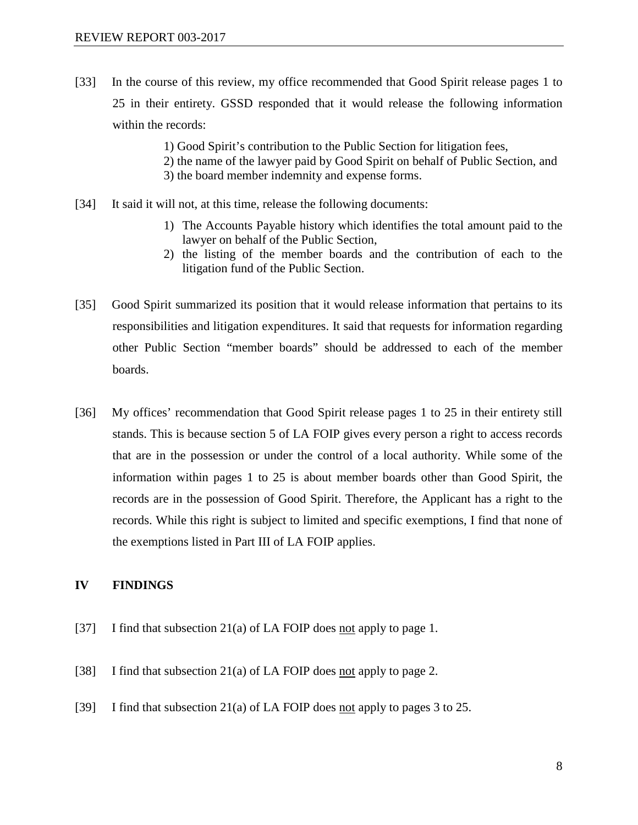- [33] In the course of this review, my office recommended that Good Spirit release pages 1 to 25 in their entirety. GSSD responded that it would release the following information within the records:
	- 1) Good Spirit's contribution to the Public Section for litigation fees,
	- 2) the name of the lawyer paid by Good Spirit on behalf of Public Section, and
	- 3) the board member indemnity and expense forms.
- [34] It said it will not, at this time, release the following documents:
	- 1) The Accounts Payable history which identifies the total amount paid to the lawyer on behalf of the Public Section,
	- 2) the listing of the member boards and the contribution of each to the litigation fund of the Public Section.
- [35] Good Spirit summarized its position that it would release information that pertains to its responsibilities and litigation expenditures. It said that requests for information regarding other Public Section "member boards" should be addressed to each of the member boards.
- [36] My offices' recommendation that Good Spirit release pages 1 to 25 in their entirety still stands. This is because section 5 of LA FOIP gives every person a right to access records that are in the possession or under the control of a local authority. While some of the information within pages 1 to 25 is about member boards other than Good Spirit, the records are in the possession of Good Spirit. Therefore, the Applicant has a right to the records. While this right is subject to limited and specific exemptions, I find that none of the exemptions listed in Part III of LA FOIP applies.

#### **IV FINDINGS**

- [37] I find that subsection 21(a) of LA FOIP does not apply to page 1.
- [38] I find that subsection 21(a) of LA FOIP does not apply to page 2.
- [39] I find that subsection 21(a) of LA FOIP does not apply to pages 3 to 25.